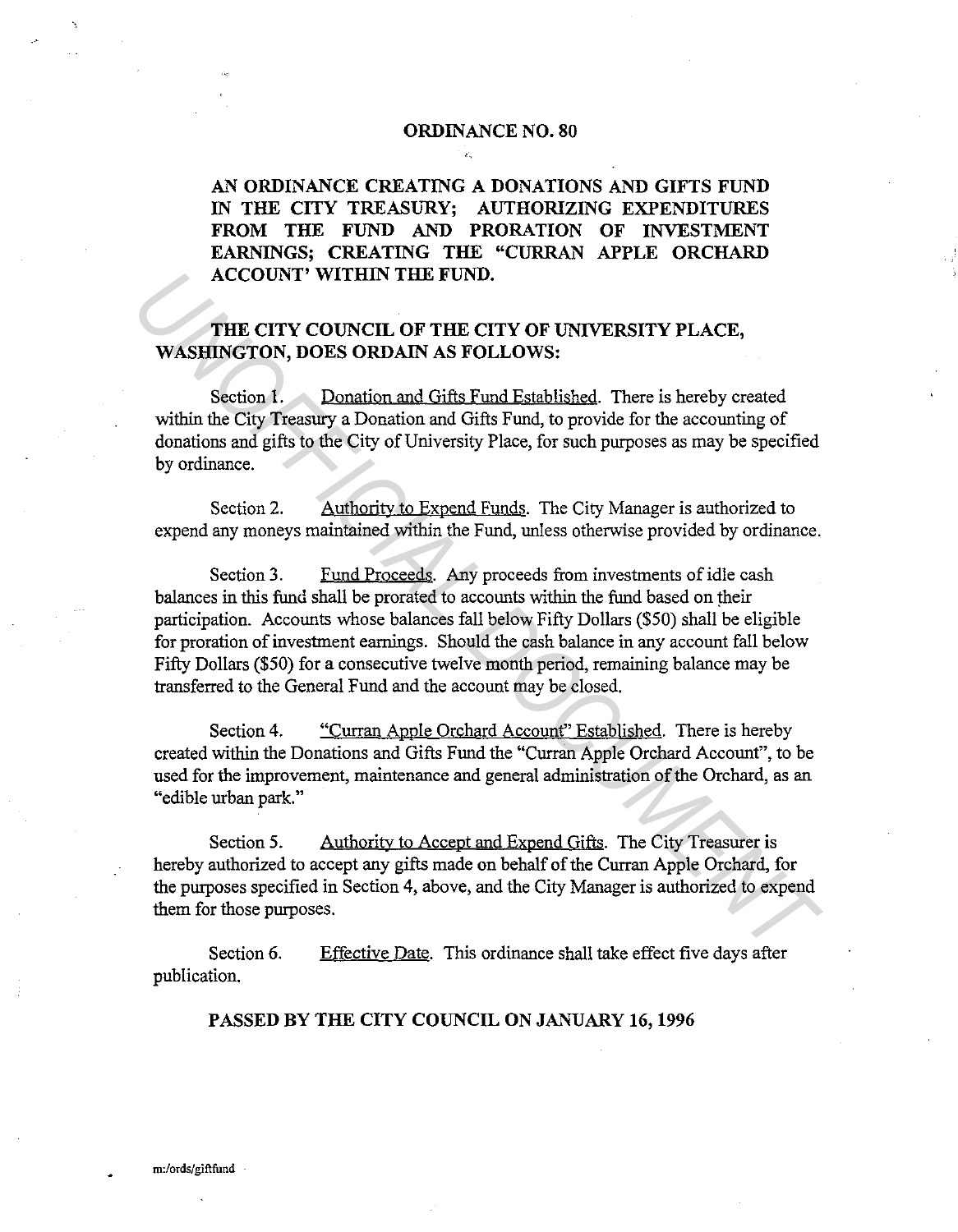## **ORDINANCE NO. 80**

**AN ORDINANCE CREATING A DONATIONS AND GIFTS FUND IN THE CITY TREASURY; AUTHORIZING EXPENDITURES FROM THE FUND AND PRORATION OF INVESTMENT EARNINGS; CREATING THE "CURRAN APPLE ORCHARD ACCOUNT' WITHIN THE FUND.** 

## **THE CITY COUNCIL OF THE CITY OF UNIVERSITY PLACE, WASHINGTON, DOES ORDAIN AS FOLLOWS:**

Section 1. Donation and Gifts Fund Established. There is hereby created within the City Treasury a Donation and Gifts Fund, to provide for the accounting of donations and gifts to the City of University Place, for such purposes as may be specified by ordinance.

Section 2. Authority to Expend Funds. The City Manager is authorized to expend any moneys maintained within the Fund, unless otherwise provided by ordinance.

Section 3. Fund Proceeds. Any proceeds from investments of idle cash balances in this fund shall be prorated to accounts within the fund based on their participation. Accounts whose balances fall below Fifty Dollars (\$50) shall be eligible for proration of investment earnings. Should the cash balance in any account fall below Fifty Dollars (\$50) for a consecutive twelve month period, remaining balance may be transferred to the General Fund and the account may be closed. **ACCOUNT' WITHIN THE FUND.**<br> **THE CITY COUNCIL OF THE CITY OF UNIVERSITY PLACE,**<br> **WASHINGTON, DOES ORDAIN AS FOLLOWS:**<br>
Section 1. Donation and Gifts Fund Established. There is hereby created<br>
within the City Treasury a D

Section 4. "Curran Apple Orchard Account" Established. There is hereby created within the Donations and Gifts Fund the "Curran Apple Orchard Account", to be used for the improvement, maintenance and general administration of the Orchard, as an "edible urban park."

Section 5. Authority to Accept and Expend Gifts. The City Treasurer is hereby authorized to accept any gifts made on behalf of the Curran Apple Orchard, for the purposes specified in Section 4, above, and the City Manager is authorized to expend them for those purposes.

Section 6. publication. Effective Date. This ordinance shall take effect five days after

## **PASSED BY THE CITY COUNCIL ON JANUARY 16, 1996**